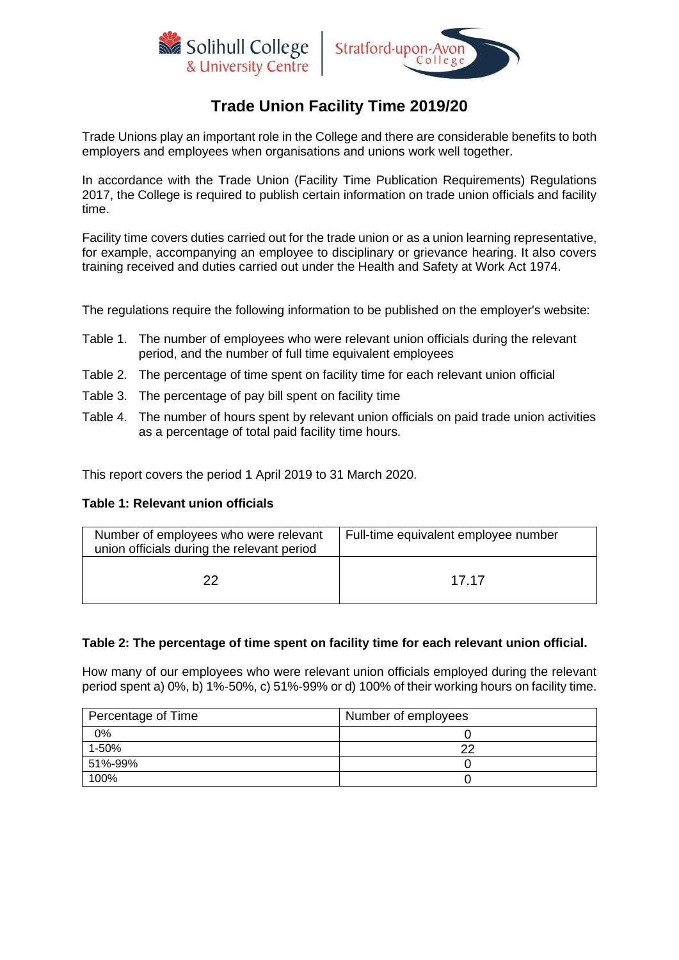



# **Trade Union Facility Time 2019/20**

Trade Unions play an important role in the College and there are considerable benefits to both employers and employees when organisations and unions work well together.

In accordance with the Trade Union (Facility Time Publication Requirements) Regulations 2017, the College is required to publish certain information on trade union officials and facility time.

Facility time covers duties carried out for the trade union or as a union learning representative, for example, accompanying an employee to disciplinary or grievance hearing. It also covers training received and duties carried out under the Health and Safety at Work Act 1974.

The regulations require the following information to be published on the employer's website:

- Table 1. The number of employees who were relevant union officials during the relevant period, and the number of full time equivalent employees
- Table 2. The percentage of time spent on facility time for each relevant union official
- Table 3. The percentage of pay bill spent on facility time
- Table 4. The number of hours spent by relevant union officials on paid trade union activities as a percentage of total paid facility time hours.

This report covers the period 1 April 2019 to 31 March 2020.

#### **Table 1: Relevant union officials**

| Number of employees who were relevant<br>union officials during the relevant period | Full-time equivalent employee number |
|-------------------------------------------------------------------------------------|--------------------------------------|
| 22                                                                                  | 17 17                                |

#### **Table 2: The percentage of time spent on facility time for each relevant union official.**

How many of our employees who were relevant union officials employed during the relevant period spent a) 0%, b) 1%-50%, c) 51%-99% or d) 100% of their working hours on facility time.

| Percentage of Time | Number of employees |
|--------------------|---------------------|
| 0%                 |                     |
| 1-50%              | ∩י                  |
| 51%-99%            |                     |
| 100%               |                     |